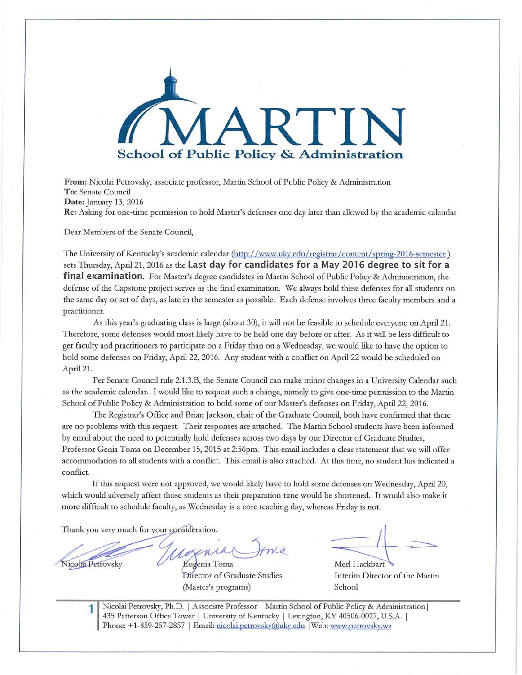

**From:** Nicolai Petrovsky, associate professor, Martin School of Public Policy & Administration To: Senate Council **Date:** January 13, 2016 **Re:** Asking for one-time permission to hold Master's defenses one day later than allowed by the academic calendar

Dear Members of the Senate Council,

The University of Kentucky's academic calendar (http://www.uky.edu/ registrar/content/ spring-2016-semester ) sets Thursday, April 21, 2016 as the **Last day for candidates for a May 2016 degree to sit for a final examination.** For Master's degree candidates in Martin School of Public Policy & Administration, the defense of the Capstone project serves as the final examination. We always hold these defenses for all students on the same day or set of days, as late in the semester as possible. Each defense involves three faculty members and a practitioner.

As this year's graduating class is large (about 30), it will not be feasible to schedule everyone on April 21. Therefore, some defenses would most likely have to be held one day before or after. As it will be less difficult to get faculty and practitioners to participate on a Friday than on a Wednesday, we would like to have the option to hold some defenses on Friday, April 22, 2016. Any student with a conflict on April 22 would be scheduled on April 21.

Per Senate Council rule 2.1.3.B, the Senate Council can make minor changes in a University Calendar such as the academic calendar. I would like to request such a change, namely to give one-time permission to the Martin School of Public Policy & Administration to hold some of our Master's defenses on Friday, April 22, 2016.

The Registrar's Office and Brian Jackson, chair of the Graduate Council, both have confirmed that there are no problems with this request. Their responses are attached. The Martin School students have been informed by email about the need to potentially hold defenses across two days by our Director of Graduate Studies, Professor Genia Toma on December 15, 2015 at 2:56pm. This email includes a clear statement that we will offer accommodation to all students with a conflict. This email is also attached. At this time, no student has indicated a conflict.

If this request were not approved, we would likely have to hold some defenses on Wednesday, April 20, which would adversely affect those students as their preparation time would be shortened. It would also make it more difficult to schedule faculty, as Wednesday is a core teaching day, whereas Friday is not.

Thank you very much for your consideration.

**1** 

Nicolai Petrovsky Eugenia Toma

Director of Graduate Studies (Master's programs)

Merl Hackbart

Interim Director of the Martin School

Nicolai Petrovsky, Ph.D. I Associate Professor I Martin School of Public Policy & Administration I 435 Patterson Office Tower | University of Kentucky | Lexington, KY 40506-0027, U.S.A. | Phone: +1-859-257-2857 | Email: nicolai.petrovsky@uky.edu | Web: www.petrovsky.ws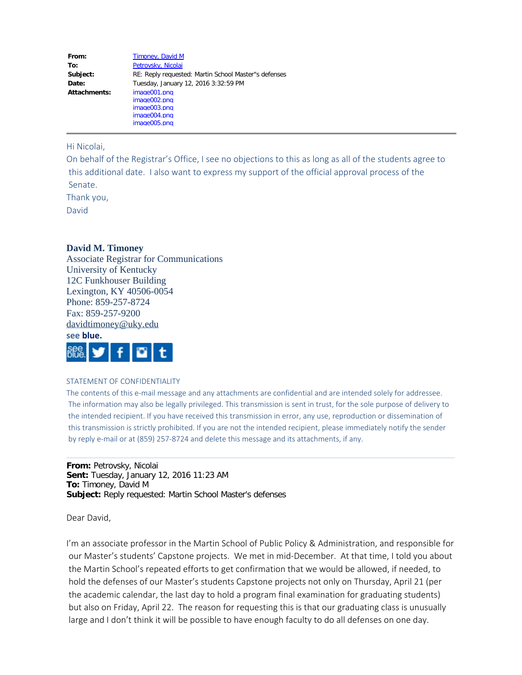| From:        | Timoney, David M                                     |
|--------------|------------------------------------------------------|
| To:          | Petrovsky, Nicolai                                   |
| Subject:     | RE: Reply requested: Martin School Master"s defenses |
| Date:        | Tuesday, January 12, 2016 3:32:59 PM                 |
| Attachments: | image001.png                                         |
|              | image002.png                                         |
|              | image003.png                                         |
|              | image004.png                                         |
|              | image005.png                                         |

Hi Nicolai,

On behalf of the Registrar's Office, I see no objections to this as long as all of the students agree to this additional date. I also want to express my support of the official approval process of the Senate.

Thank you, David

## **David M. Timoney**

Associate Registrar for Communications University of Kentucky 12C Funkhouser Building Lexington, KY 40506-0054 Phone: 859-257-8724 Fax: 859-257-9200 [davidtimoney@uky.edu](mailto:davidtimoney@uky.edu)



## STATEMENT OF CONFIDENTIALITY

The contents of this e-mail message and any attachments are confidential and are intended solely for addressee. The information may also be legally privileged. This transmission is sent in trust, for the sole purpose of delivery to the intended recipient. If you have received this transmission in error, any use, reproduction or dissemination of this transmission is strictly prohibited. If you are not the intended recipient, please immediately notify the sender by reply e-mail or at (859) 257-8724 and delete this message and its attachments, if any.

**From:** Petrovsky, Nicolai **Sent:** Tuesday, January 12, 2016 11:23 AM **To:** Timoney, David M **Subject:** Reply requested: Martin School Master's defenses

Dear David,

I'm an associate professor in the Martin School of Public Policy & Administration, and responsible for our Master's students' Capstone projects. We met in mid-December. At that time, I told you about the Martin School's repeated efforts to get confirmation that we would be allowed, if needed, to hold the defenses of our Master's students Capstone projects not only on Thursday, April 21 (per the academic calendar, the last day to hold a program final examination for graduating students) but also on Friday, April 22. The reason for requesting this is that our graduating class is unusually large and I don't think it will be possible to have enough faculty to do all defenses on one day.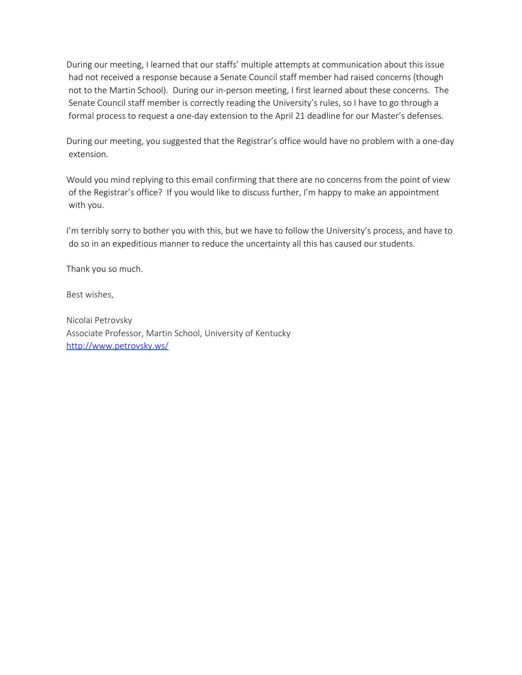During our meeting, I learned that our staffs' multiple attempts at communication about this issue had not received a response because a Senate Council staff member had raised concerns (though not to the Martin School). During our in-person meeting, I first learned about these concerns. The Senate Council staff member is correctly reading the University's rules, so I have to go through a formal process to request a one-day extension to the April 21 deadline for our Master's defenses.

During our meeting, you suggested that the Registrar's office would have no problem with a one-day extension.

Would you mind replying to this email confirming that there are no concerns from the point of view of the Registrar's office? If you would like to discuss further, I'm happy to make an appointment with you.

I'm terribly sorry to bother you with this, but we have to follow the University's process, and have to do so in an expeditious manner to reduce the uncertainty all this has caused our students.

Thank you so much.

Best wishes,

Nicolai Petrovsky Associate Professor, Martin School, University of Kentucky <http://www.petrovsky.ws/>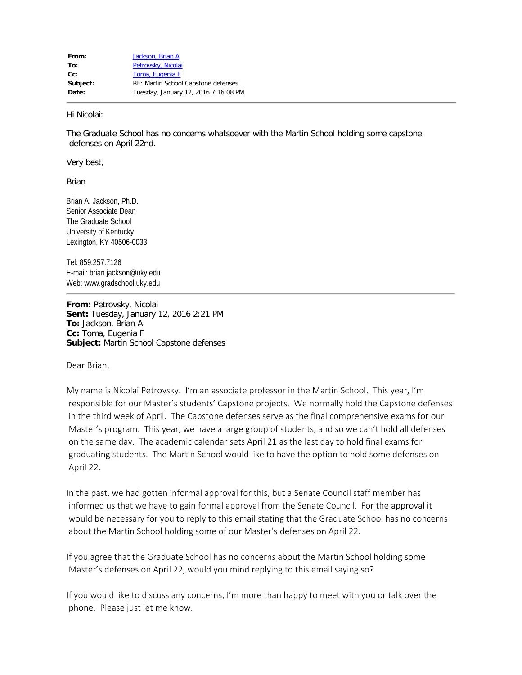Hi Nicolai:

The Graduate School has no concerns whatsoever with the Martin School holding some capstone defenses on April 22nd.

Very best,

Brian

Brian A. Jackson, Ph.D. Senior Associate Dean The Graduate School University of Kentucky Lexington, KY 40506-0033

Tel: 859.257.7126 E-mail: brian.jackson@uky.edu Web: www.gradschool.uky.edu

**From:** Petrovsky, Nicolai **Sent:** Tuesday, January 12, 2016 2:21 PM **To:** Jackson, Brian A **Cc:** Toma, Eugenia F **Subject:** Martin School Capstone defenses

Dear Brian,

My name is Nicolai Petrovsky. I'm an associate professor in the Martin School. This year, I'm responsible for our Master's students' Capstone projects. We normally hold the Capstone defenses in the third week of April. The Capstone defenses serve as the final comprehensive exams for our Master's program. This year, we have a large group of students, and so we can't hold all defenses on the same day. The academic calendar sets April 21 as the last day to hold final exams for graduating students. The Martin School would like to have the option to hold some defenses on April 22.

In the past, we had gotten informal approval for this, but a Senate Council staff member has informed us that we have to gain formal approval from the Senate Council. For the approval it would be necessary for you to reply to this email stating that the Graduate School has no concerns about the Martin School holding some of our Master's defenses on April 22.

If you agree that the Graduate School has no concerns about the Martin School holding some Master's defenses on April 22, would you mind replying to this email saying so?

If you would like to discuss any concerns, I'm more than happy to meet with you or talk over the phone. Please just let me know.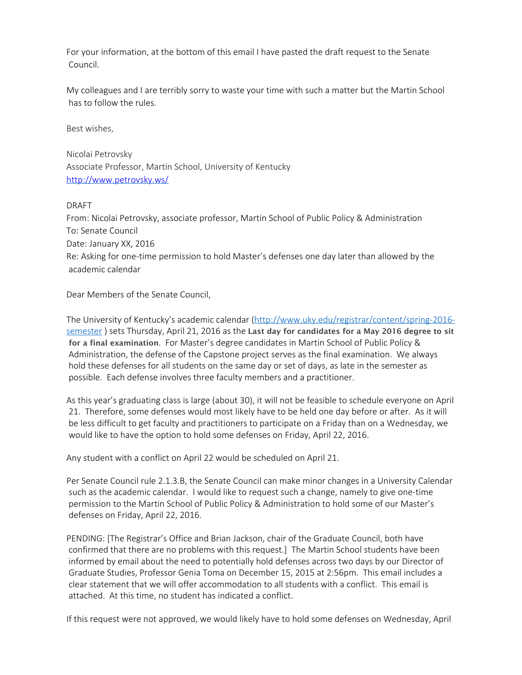For your information, at the bottom of this email I have pasted the draft request to the Senate Council.

My colleagues and I are terribly sorry to waste your time with such a matter but the Martin School has to follow the rules.

Best wishes,

Nicolai Petrovsky Associate Professor, Martin School, University of Kentucky <http://www.petrovsky.ws/>

## DRAFT

From: Nicolai Petrovsky, associate professor, Martin School of Public Policy & Administration To: Senate Council Date: January XX, 2016 Re: Asking for one-time permission to hold Master's defenses one day later than allowed by the academic calendar

Dear Members of the Senate Council,

The University of Kentucky's academic calendar [\(http://www.uky.edu/registrar/content/spring-2016](http://www.uky.edu/registrar/content/spring-2016-semester) [semester](http://www.uky.edu/registrar/content/spring-2016-semester) ) sets Thursday, April 21, 2016 as the Last day for candidates for a May 2016 degree to sit for a final examination. For Master's degree candidates in Martin School of Public Policy & Administration, the defense of the Capstone project serves as the final examination. We always hold these defenses for all students on the same day or set of days, as late in the semester as possible. Each defense involves three faculty members and a practitioner.

As this year's graduating class is large (about 30), it will not be feasible to schedule everyone on April 21. Therefore, some defenses would most likely have to be held one day before or after. As it will be less difficult to get faculty and practitioners to participate on a Friday than on a Wednesday, we would like to have the option to hold some defenses on Friday, April 22, 2016.

Any student with a conflict on April 22 would be scheduled on April 21.

Per Senate Council rule 2.1.3.B, the Senate Council can make minor changes in a University Calendar such as the academic calendar. I would like to request such a change, namely to give one-time permission to the Martin School of Public Policy & Administration to hold some of our Master's defenses on Friday, April 22, 2016.

PENDING: [The Registrar's Office and Brian Jackson, chair of the Graduate Council, both have confirmed that there are no problems with this request.] The Martin School students have been informed by email about the need to potentially hold defenses across two days by our Director of Graduate Studies, Professor Genia Toma on December 15, 2015 at 2:56pm. This email includes a clear statement that we will offer accommodation to all students with a conflict. This email is attached. At this time, no student has indicated a conflict.

If this request were not approved, we would likely have to hold some defenses on Wednesday, April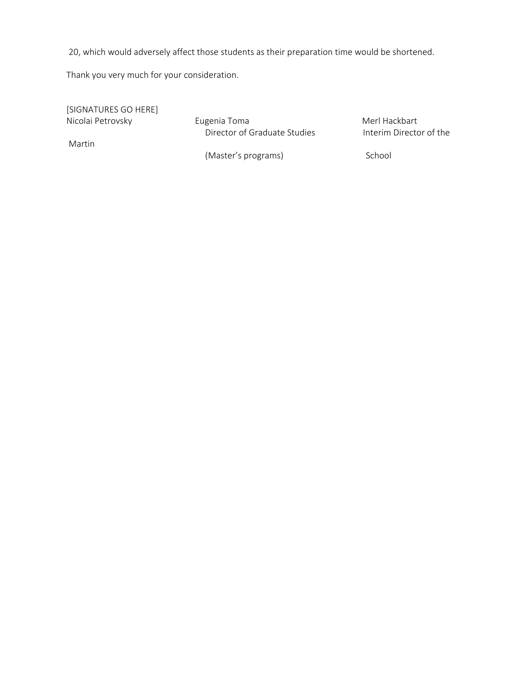20, which would adversely affect those students as their preparation time would be shortened.

Thank you very much for your consideration.

[SIGNATURES GO HERE] Nicolai Petrovsky **Merl Hackbart** Eugenia Toma **Merl Hackbart** Director of Graduate Studies **Interim Director of the**  Martin (Master's programs) School